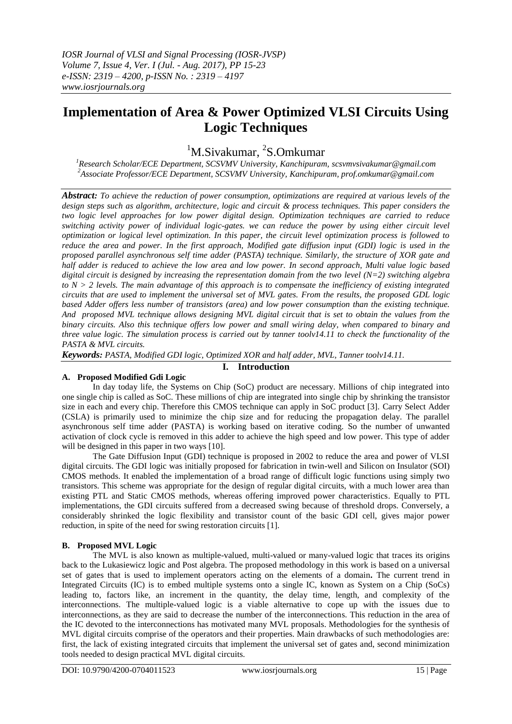# **Implementation of Area & Power Optimized VLSI Circuits Using Logic Techniques**

## <sup>1</sup>M.Sivakumar, <sup>2</sup>S.Omkumar

*<sup>1</sup>Research Scholar/ECE Department, SCSVMV University, Kanchipuram, [scsvmvsivakumar@gmail.com](mailto:scsvmvsivakumar@gmail.com) <sup>2</sup>Associate Professor/ECE Department, SCSVMV University, Kanchipuram, prof.omkumar@gmail.com*

*Abstract: To achieve the reduction of power consumption, optimizations are required at various levels of the design steps such as algorithm, architecture, logic and circuit & process techniques. This paper considers the two logic level approaches for low power digital design. Optimization techniques are carried to reduce switching activity power of individual logic-gates. we can reduce the power by using either circuit level optimization or logical level optimization. In this paper, the circuit level optimization process is followed to reduce the area and power. In the first approach, Modified gate diffusion input (GDI) logic is used in the proposed parallel asynchronous self time adder (PASTA) technique. Similarly, the structure of XOR gate and half adder is reduced to achieve the low area and low power. In second approach, Multi value logic based digital circuit is designed by increasing the representation domain from the two level (N=2) switching algebra to N > 2 levels. The main advantage of this approach is to compensate the inefficiency of existing integrated circuits that are used to implement the universal set of MVL gates. From the results, the proposed GDL logic based Adder offers less number of transistors (area) and low power consumption than the existing technique. And proposed MVL technique allows designing MVL digital circuit that is set to obtain the values from the binary circuits. Also this technique offers low power and small wiring delay, when compared to binary and three value logic. The simulation process is carried out by tanner toolv14.11 to check the functionality of the PASTA & MVL circuits.*

*Keywords: PASTA, Modified GDI logic, Optimized XOR and half adder, MVL, Tanner toolv14.11.*

#### **I. Introduction**

#### **A. Proposed Modified Gdi Logic**

In day today life, the Systems on Chip (SoC) product are necessary. Millions of chip integrated into one single chip is called as SoC. These millions of chip are integrated into single chip by shrinking the transistor size in each and every chip. Therefore this CMOS technique can apply in SoC product [3]. Carry Select Adder (CSLA) is primarily used to minimize the chip size and for reducing the propagation delay. The parallel asynchronous self time adder (PASTA) is working based on iterative coding. So the number of unwanted activation of clock cycle is removed in this adder to achieve the high speed and low power. This type of adder will be designed in this paper in two ways [10].

The Gate Diffusion Input (GDI) technique is proposed in 2002 to reduce the area and power of VLSI digital circuits. The GDI logic was initially proposed for fabrication in twin-well and Silicon on Insulator (SOI) CMOS methods. It enabled the implementation of a broad range of difficult logic functions using simply two transistors. This scheme was appropriate for the design of regular digital circuits, with a much lower area than existing PTL and Static CMOS methods, whereas offering improved power characteristics. Equally to PTL implementations, the GDI circuits suffered from a decreased swing because of threshold drops. Conversely, a considerably shrinked the logic flexibility and transistor count of the basic GDI cell, gives major power reduction, in spite of the need for swing restoration circuits [1].

#### **B. Proposed MVL Logic**

The MVL is also known as multiple-valued, multi-valued or many-valued logic that traces its origins back to the Lukasiewicz logic and Post algebra. The proposed methodology in this work is based on a universal set of gates that is used to implement operators acting on the elements of a domain**.** The current trend in Integrated Circuits (IC) is to embed multiple systems onto a single IC, known as System on a Chip (SoCs) leading to, factors like, an increment in the quantity, the delay time, length, and complexity of the interconnections. The multiple-valued logic is a viable alternative to cope up with the issues due to interconnections, as they are said to decrease the number of the interconnections. This reduction in the area of the IC devoted to the interconnections has motivated many MVL proposals. Methodologies for the synthesis of MVL digital circuits comprise of the operators and their properties. Main drawbacks of such methodologies are: first, the lack of existing integrated circuits that implement the universal set of gates and, second minimization tools needed to design practical MVL digital circuits.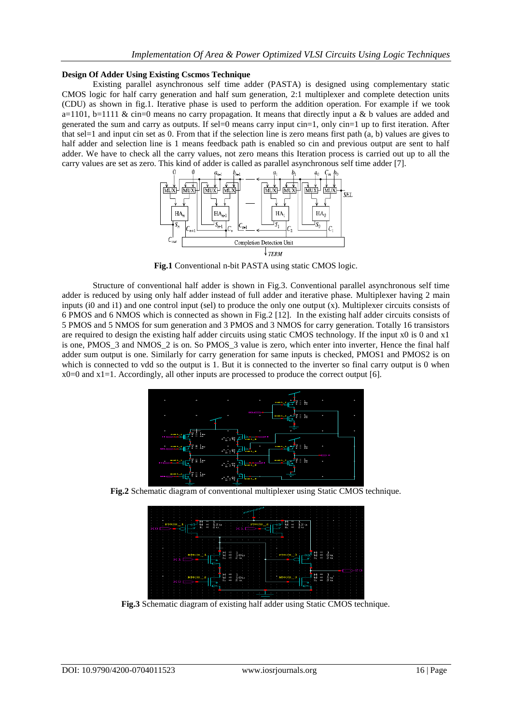#### **Design Of Adder Using Existing Cscmos Technique**

Existing parallel asynchronous self time adder (PASTA) is designed using complementary static CMOS logic for half carry generation and half sum generation, 2:1 multiplexer and complete detection units (CDU) as shown in fig.1. Iterative phase is used to perform the addition operation. For example if we took a=1101, b=1111 & cin=0 means no carry propagation. It means that directly input a & b values are added and generated the sum and carry as outputs. If sel=0 means carry input cin=1, only cin=1 up to first iteration. After that sel=1 and input cin set as 0. From that if the selection line is zero means first path  $(a, b)$  values are gives to half adder and selection line is 1 means feedback path is enabled so cin and previous output are sent to half adder. We have to check all the carry values, not zero means this Iteration process is carried out up to all the carry values are set as zero. This kind of adder is called as parallel asynchronous self time adder [7].



**Fig.1** Conventional n-bit PASTA using static CMOS logic.

Structure of conventional half adder is shown in Fig.3. Conventional parallel asynchronous self time adder is reduced by using only half adder instead of full adder and iterative phase. Multiplexer having 2 main inputs (i0 and i1) and one control input (sel) to produce the only one output (x). Multiplexer circuits consists of 6 PMOS and 6 NMOS which is connected as shown in Fig.2 [12]. In the existing half adder circuits consists of 5 PMOS and 5 NMOS for sum generation and 3 PMOS and 3 NMOS for carry generation. Totally 16 transistors are required to design the existing half adder circuits using static CMOS technology. If the input x0 is 0 and x1 is one, PMOS  $\overline{3}$  and NMOS  $\overline{2}$  is on. So PMOS  $\overline{3}$  value is zero, which enter into inverter, Hence the final half adder sum output is one. Similarly for carry generation for same inputs is checked, PMOS1 and PMOS2 is on which is connected to vdd so the output is 1. But it is connected to the inverter so final carry output is 0 when  $x0=0$  and  $x1=1$ . Accordingly, all other inputs are processed to produce the correct output [6].



**Fig.2** Schematic diagram of conventional multiplexer using Static CMOS technique.

**Fig.3** Schematic diagram of existing half adder using Static CMOS technique.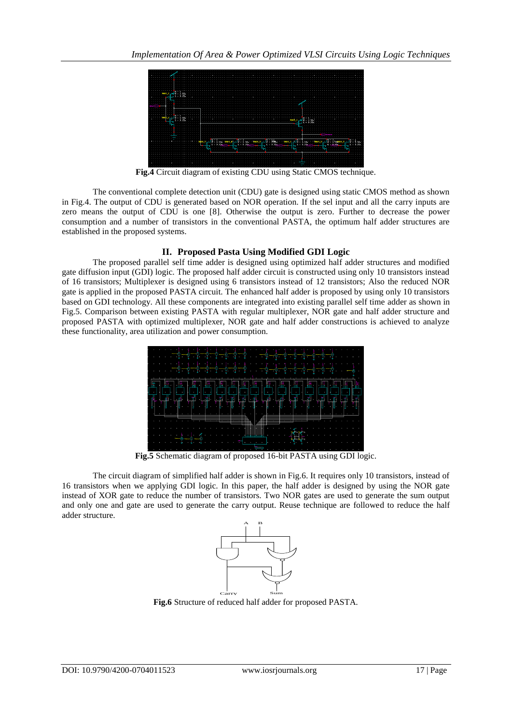

**Fig.4** Circuit diagram of existing CDU using Static CMOS technique.

The conventional complete detection unit (CDU) gate is designed using static CMOS method as shown in Fig.4. The output of CDU is generated based on NOR operation. If the sel input and all the carry inputs are zero means the output of CDU is one [8]. Otherwise the output is zero. Further to decrease the power consumption and a number of transistors in the conventional PASTA, the optimum half adder structures are established in the proposed systems.

#### **II. Proposed Pasta Using Modified GDI Logic**

The proposed parallel self time adder is designed using optimized half adder structures and modified gate diffusion input (GDI) logic. The proposed half adder circuit is constructed using only 10 transistors instead of 16 transistors; Multiplexer is designed using 6 transistors instead of 12 transistors; Also the reduced NOR gate is applied in the proposed PASTA circuit. The enhanced half adder is proposed by using only 10 transistors based on GDI technology. All these components are integrated into existing parallel self time adder as shown in Fig.5. Comparison between existing PASTA with regular multiplexer, NOR gate and half adder structure and proposed PASTA with optimized multiplexer, NOR gate and half adder constructions is achieved to analyze these functionality, area utilization and power consumption.



**Fig.5** Schematic diagram of proposed 16-bit PASTA using GDI logic.

The circuit diagram of simplified half adder is shown in Fig.6. It requires only 10 transistors, instead of 16 transistors when we applying GDI logic. In this paper, the half adder is designed by using the NOR gate instead of XOR gate to reduce the number of transistors. Two NOR gates are used to generate the sum output and only one and gate are used to generate the carry output. Reuse technique are followed to reduce the half adder structure.



**Fig.6** Structure of reduced half adder for proposed PASTA.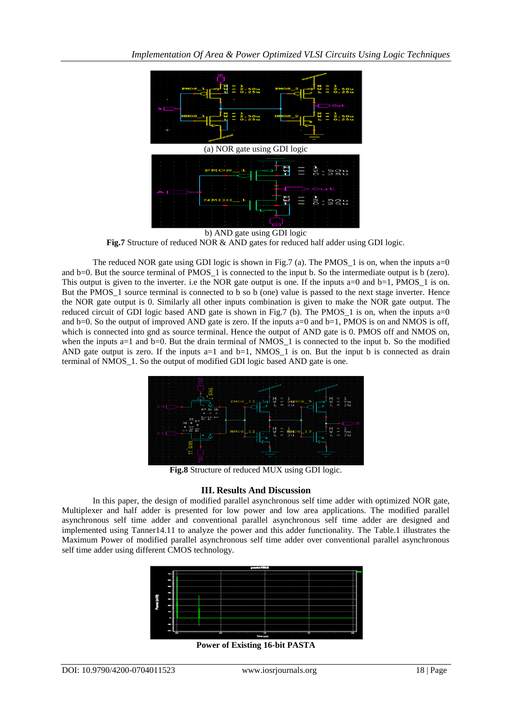

b) AND gate using GDI logic **Fig.7** Structure of reduced NOR & AND gates for reduced half adder using GDI logic.

The reduced NOR gate using GDI logic is shown in Fig.7 (a). The PMOS<sub> $\perp$ </sub> 1 is on, when the inputs a=0 and b=0. But the source terminal of PMOS 1 is connected to the input b. So the intermediate output is b (zero). This output is given to the inverter, i.e the NOR gate output is one. If the inputs  $a=0$  and  $b=1$ , PMOS 1 is on. But the PMOS<sub>1</sub> source terminal is connected to b so b (one) value is passed to the next stage inverter. Hence the NOR gate output is 0. Similarly all other inputs combination is given to make the NOR gate output. The reduced circuit of GDI logic based AND gate is shown in Fig.7 (b). The PMOS  $\,$  1 is on, when the inputs a=0 and b=0. So the output of improved AND gate is zero. If the inputs a=0 and b=1, PMOS is on and NMOS is off, which is connected into gnd as source terminal. Hence the output of AND gate is 0. PMOS off and NMOS on, when the inputs a=1 and b=0. But the drain terminal of NMOS  $\,1\,$  is connected to the input b. So the modified AND gate output is zero. If the inputs  $a=1$  and  $b=1$ , NMOS<sub>\_1</sub> is on. But the input b is connected as drain terminal of NMOS\_1. So the output of modified GDI logic based AND gate is one.



**Fig.8** Structure of reduced MUX using GDI logic.

#### **III. Results And Discussion**

In this paper, the design of modified parallel asynchronous self time adder with optimized NOR gate, Multiplexer and half adder is presented for low power and low area applications. The modified parallel asynchronous self time adder and conventional parallel asynchronous self time adder are designed and implemented using Tanner14.11 to analyze the power and this adder functionality. The Table.1 illustrates the Maximum Power of modified parallel asynchronous self time adder over conventional parallel asynchronous self time adder using different CMOS technology.



**Power of Existing 16-bit PASTA**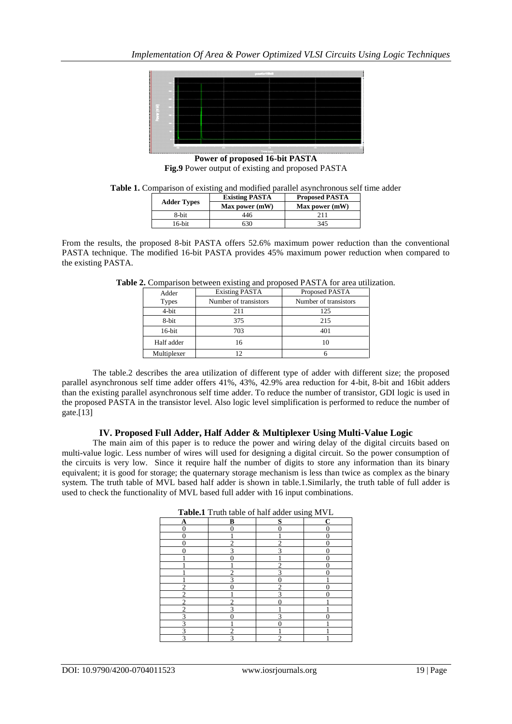

**Power of proposed 16-bit PASTA Fig.9** Power output of existing and proposed PASTA

|                    | <b>Existing PASTA</b> | <b>Proposed PASTA</b> |
|--------------------|-----------------------|-----------------------|
| <b>Adder Types</b> | Max power (mW)        | Max power (mW)        |
| 8-bit              | 446                   |                       |
| $16$ -bit          | 630                   | 345                   |

From the results, the proposed 8-bit PASTA offers 52.6% maximum power reduction than the conventional PASTA technique. The modified 16-bit PASTA provides 45% maximum power reduction when compared to the existing PASTA.

| Adder        | <b>Existing PASTA</b> | Proposed PASTA        |
|--------------|-----------------------|-----------------------|
| <b>Types</b> | Number of transistors | Number of transistors |
| 4-bit        | 211                   | 125                   |
| 8-bit        | 375                   | 215                   |
| $16$ -bit    | 703                   |                       |
| Half adder   |                       |                       |

Multiplexer 12 6

**Table 2.** Comparison between existing and proposed PASTA for area utilization.

The table.2 describes the area utilization of different type of adder with different size; the proposed parallel asynchronous self time adder offers 41%, 43%, 42.9% area reduction for 4-bit, 8-bit and 16bit adders than the existing parallel asynchronous self time adder. To reduce the number of transistor, GDI logic is used in the proposed PASTA in the transistor level. Also logic level simplification is performed to reduce the number of gate. $[13]$ 

#### **IV. Proposed Full Adder, Half Adder & Multiplexer Using Multi-Value Logic**

The main aim of this paper is to reduce the power and wiring delay of the digital circuits based on multi-value logic. Less number of wires will used for designing a digital circuit. So the power consumption of the circuits is very low. Since it require half the number of digits to store any information than its binary equivalent; it is good for storage; the quaternary storage mechanism is less than twice as complex as the binary system. The truth table of MVL based half adder is shown in table.1.Similarly, the truth table of full adder is used to check the functionality of MVL based full adder with 16 input combinations.

| <b>Table.I</b> Truth table of half adder using MVL |   |   |
|----------------------------------------------------|---|---|
| B                                                  | s | C |
|                                                    |   |   |
|                                                    |   |   |
|                                                    |   |   |
|                                                    |   |   |
|                                                    |   |   |
|                                                    |   |   |
|                                                    |   |   |
|                                                    |   |   |
|                                                    |   |   |
|                                                    |   |   |
|                                                    |   |   |
|                                                    |   |   |
|                                                    |   |   |
|                                                    |   |   |
|                                                    |   |   |
|                                                    |   |   |

| <b>Table.1</b> Truth table of half adder using MVL |  |
|----------------------------------------------------|--|
|----------------------------------------------------|--|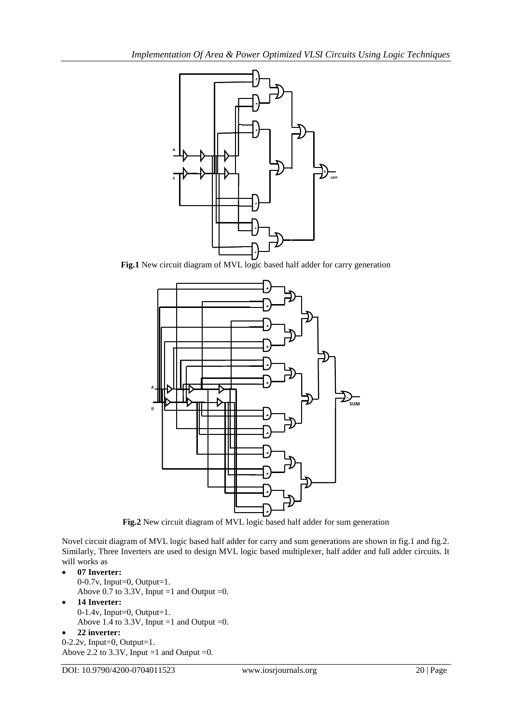

Fig.1 New circuit diagram of MVL logic based half adder for carry generation



**Fig.2** New circuit diagram of MVL logic based half adder for sum generation

Novel circuit diagram of MVL logic based half adder for carry and sum generations are shown in fig.1 and fig.2. Similarly, Three Inverters are used to design MVL logic based multiplexer, half adder and full adder circuits. It will works as

- **07 Inverter:** 0-0.7v, Input=0, Output=1. Above 0.7 to 3.3V, Input =1 and Output =0.
- **14 Inverter:** 0-1.4v, Input=0, Output=1. Above 1.4 to 3.3V, Input =1 and Output =0.

### **22 inverter:**

0-2.2v, Input=0, Output=1. Above 2.2 to 3.3V, Input =1 and Output =0.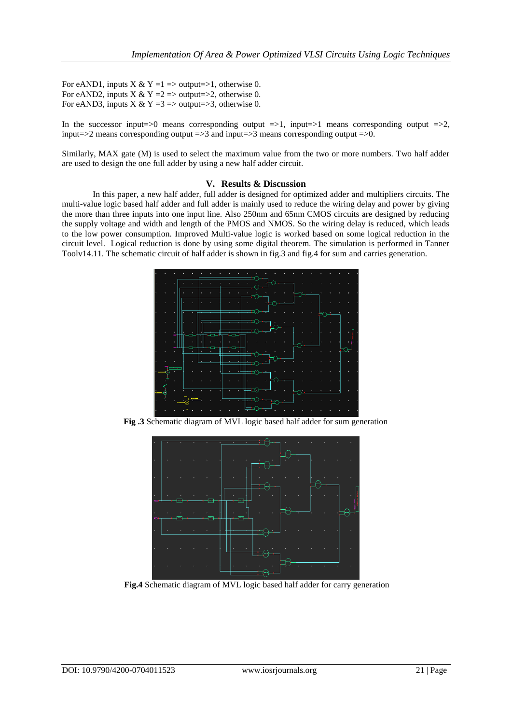For eAND1, inputs X & Y =1 => output=>1, otherwise 0. For eAND2, inputs X & Y =  $2 \Rightarrow$  output=>2, otherwise 0. For eAND3, inputs  $X & Y = 3 \implies \text{output} \implies 3$ , otherwise 0.

In the successor input=>0 means corresponding output  $=>1$ , input=>1 means corresponding output  $=>2$ , input=>2 means corresponding output =>3 and input=>3 means corresponding output => $0$ .

Similarly, MAX gate (M) is used to select the maximum value from the two or more numbers. Two half adder are used to design the one full adder by using a new half adder circuit.

#### **V. Results & Discussion**

In this paper, a new half adder, full adder is designed for optimized adder and multipliers circuits. The multi-value logic based half adder and full adder is mainly used to reduce the wiring delay and power by giving the more than three inputs into one input line. Also 250nm and 65nm CMOS circuits are designed by reducing the supply voltage and width and length of the PMOS and NMOS. So the wiring delay is reduced, which leads to the low power consumption. Improved Multi-value logic is worked based on some logical reduction in the circuit level. Logical reduction is done by using some digital theorem. The simulation is performed in Tanner Toolv14.11. The schematic circuit of half adder is shown in fig.3 and fig.4 for sum and carries generation.



**Fig .3** Schematic diagram of MVL logic based half adder for sum generation



**Fig.4** Schematic diagram of MVL logic based half adder for carry generation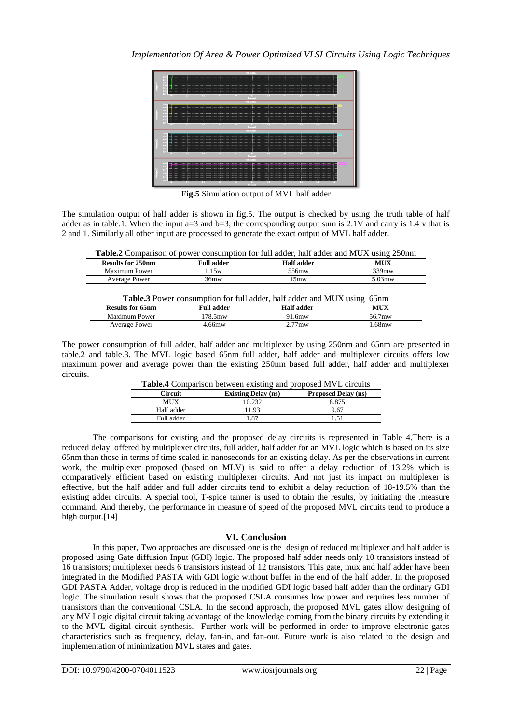

**Fig.5** Simulation output of MVL half adder

The simulation output of half adder is shown in fig.5. The output is checked by using the truth table of half adder as in table.1. When the input  $a=3$  and  $b=3$ , the corresponding output sum is 2.1V and carry is 1.4 v that is 2 and 1. Similarly all other input are processed to generate the exact output of MVL half adder.

| Table.2 Comparison of power consumption for full adder, half adder and MUX using 250nm |  |  |  |  |
|----------------------------------------------------------------------------------------|--|--|--|--|
|----------------------------------------------------------------------------------------|--|--|--|--|

| <b>Results for 250pm</b> | <b>Full adder</b> | Half adder | MUX       |
|--------------------------|-------------------|------------|-----------|
| Maximum Power            | .5w               | -56mw      | $339$ mw  |
| Average Power            | 6mw               | 5mw        | $0.03$ mw |

| <b>THORNO</b> I OWER COMMANDITION FOR THE REGIST, HELL REGIST RIFLS AND HE OUTSIDE |                   |            |        |  |
|------------------------------------------------------------------------------------|-------------------|------------|--------|--|
| <b>Results for 65nm</b>                                                            | <b>Full adder</b> | Half adder | MUX    |  |
| Maximum Power                                                                      | 178.5mw           | 91.6mw     | 56.7mw |  |
| Average Power                                                                      | 4.66mw            | $2.77$ mw  | . 68mw |  |
|                                                                                    |                   |            |        |  |

The power consumption of full adder, half adder and multiplexer by using 250nm and 65nm are presented in table.2 and table.3. The MVL logic based 65nm full adder, half adder and multiplexer circuits offers low maximum power and average power than the existing 250nm based full adder, half adder and multiplexer circuits.

| <b>Tuble-</b> Companion between existing and proposed in TE encalls |                            |                            |  |
|---------------------------------------------------------------------|----------------------------|----------------------------|--|
| Circuit                                                             | <b>Existing Delay (ns)</b> | <b>Proposed Delay (ns)</b> |  |
| MUX                                                                 |                            | 8.875                      |  |
| Half adder                                                          | 1.93                       | 9.67                       |  |
| Full adder                                                          | .87                        |                            |  |

**Table.4** Comparison between existing and proposed MVL circuits

The comparisons for existing and the proposed delay circuits is represented in Table 4.There is a reduced delay offered by multiplexer circuits, full adder, half adder for an MVL logic which is based on its size 65nm than those in terms of time scaled in nanoseconds for an existing delay. As per the observations in current work, the multiplexer proposed (based on MLV) is said to offer a delay reduction of 13.2% which is comparatively efficient based on existing multiplexer circuits. And not just its impact on multiplexer is effective, but the half adder and full adder circuits tend to exhibit a delay reduction of 18-19.5% than the existing adder circuits. A special tool, T-spice tanner is used to obtain the results, by initiating the .measure command. And thereby, the performance in measure of speed of the proposed MVL circuits tend to produce a high output.<sup>[14]</sup>

#### **VI. Conclusion**

In this paper, Two approaches are discussed one is the design of reduced multiplexer and half adder is proposed using Gate diffusion Input (GDI) logic. The proposed half adder needs only 10 transistors instead of 16 transistors; multiplexer needs 6 transistors instead of 12 transistors. This gate, mux and half adder have been integrated in the Modified PASTA with GDI logic without buffer in the end of the half adder. In the proposed GDI PASTA Adder, voltage drop is reduced in the modified GDI logic based half adder than the ordinary GDI logic. The simulation result shows that the proposed CSLA consumes low power and requires less number of transistors than the conventional CSLA. In the second approach, the proposed MVL gates allow designing of any MV Logic digital circuit taking advantage of the knowledge coming from the binary circuits by extending it to the MVL digital circuit synthesis. Further work will be performed in order to improve electronic gates characteristics such as frequency, delay, fan-in, and fan-out. Future work is also related to the design and implementation of minimization MVL states and gates.